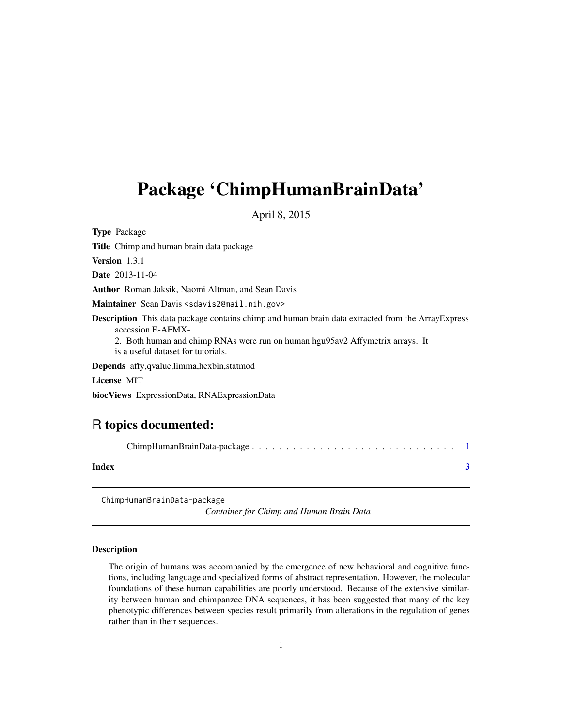## <span id="page-0-0"></span>Package 'ChimpHumanBrainData'

April 8, 2015

Type Package Title Chimp and human brain data package Version 1.3.1 Date 2013-11-04 Author Roman Jaksik, Naomi Altman, and Sean Davis Maintainer Sean Davis <sdavis2@mail.nih.gov> Description This data package contains chimp and human brain data extracted from the ArrayExpress accession E-AFMX-2. Both human and chimp RNAs were run on human hgu95av2 Affymetrix arrays. It is a useful dataset for tutorials. Depends affy,qvalue,limma,hexbin,statmod License MIT biocViews ExpressionData, RNAExpressionData

### R topics documented:

| Index |  |
|-------|--|

ChimpHumanBrainData-package

*Container for Chimp and Human Brain Data*

#### Description

The origin of humans was accompanied by the emergence of new behavioral and cognitive functions, including language and specialized forms of abstract representation. However, the molecular foundations of these human capabilities are poorly understood. Because of the extensive similarity between human and chimpanzee DNA sequences, it has been suggested that many of the key phenotypic differences between species result primarily from alterations in the regulation of genes rather than in their sequences.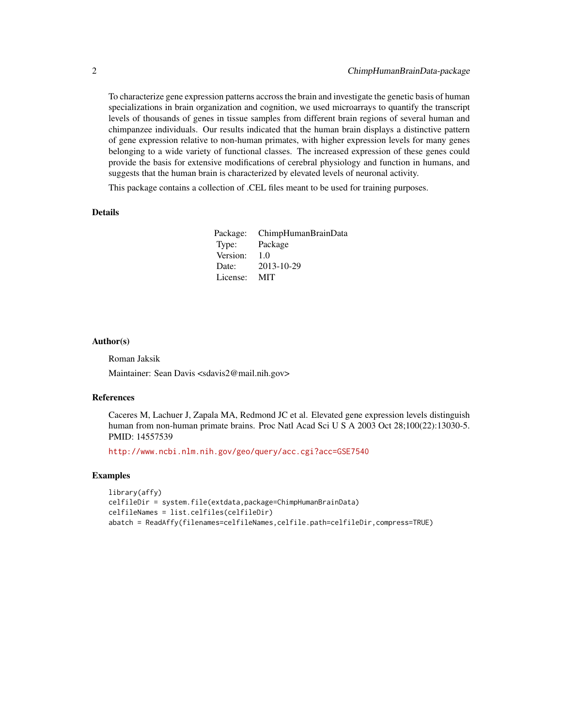To characterize gene expression patterns accross the brain and investigate the genetic basis of human specializations in brain organization and cognition, we used microarrays to quantify the transcript levels of thousands of genes in tissue samples from different brain regions of several human and chimpanzee individuals. Our results indicated that the human brain displays a distinctive pattern of gene expression relative to non-human primates, with higher expression levels for many genes belonging to a wide variety of functional classes. The increased expression of these genes could provide the basis for extensive modifications of cerebral physiology and function in humans, and suggests that the human brain is characterized by elevated levels of neuronal activity.

This package contains a collection of .CEL files meant to be used for training purposes.

#### Details

Package: ChimpHumanBrainData Type: Package Version: 10 Date: 2013-10-29 License: MIT

#### Author(s)

Roman Jaksik

Maintainer: Sean Davis <sdavis2@mail.nih.gov>

#### References

Caceres M, Lachuer J, Zapala MA, Redmond JC et al. Elevated gene expression levels distinguish human from non-human primate brains. Proc Natl Acad Sci U S A 2003 Oct 28;100(22):13030-5. PMID: 14557539

<http://www.ncbi.nlm.nih.gov/geo/query/acc.cgi?acc=GSE7540>

#### Examples

```
library(affy)
celfileDir = system.file(extdata,package=ChimpHumanBrainData)
celfileNames = list.celfiles(celfileDir)
abatch = ReadAffy(filenames=celfileNames,celfile.path=celfileDir,compress=TRUE)
```